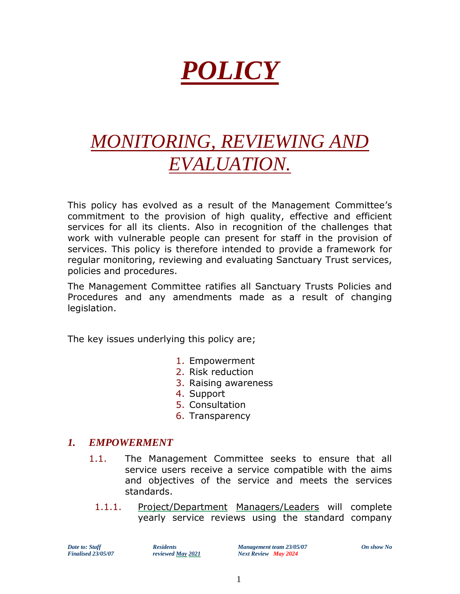# *POLICY*

# *MONITORING, REVIEWING AND EVALUATION.*

This policy has evolved as a result of the Management Committee's commitment to the provision of high quality, effective and efficient services for all its clients. Also in recognition of the challenges that work with vulnerable people can present for staff in the provision of services. This policy is therefore intended to provide a framework for regular monitoring, reviewing and evaluating Sanctuary Trust services, policies and procedures.

The Management Committee ratifies all Sanctuary Trusts Policies and Procedures and any amendments made as a result of changing legislation.

The key issues underlying this policy are;

- 1. Empowerment
- 2. Risk reduction
- 3. Raising awareness
- 4. Support
- 5. Consultation
- 6. Transparency

#### *1. EMPOWERMENT*

- 1.1. The Management Committee seeks to ensure that all service users receive a service compatible with the aims and objectives of the service and meets the services standards.
	- 1.1.1. Project/Department Managers/Leaders will complete yearly service reviews using the standard company

*Date to: Staff Residents Residents Management team 23/05/07 On show No*<br> *Finalised 23/05/07 reviewed May 2021 Next Review May 2024 Finalised 23/05/07 reviewed May 2021 Next Review May 2024*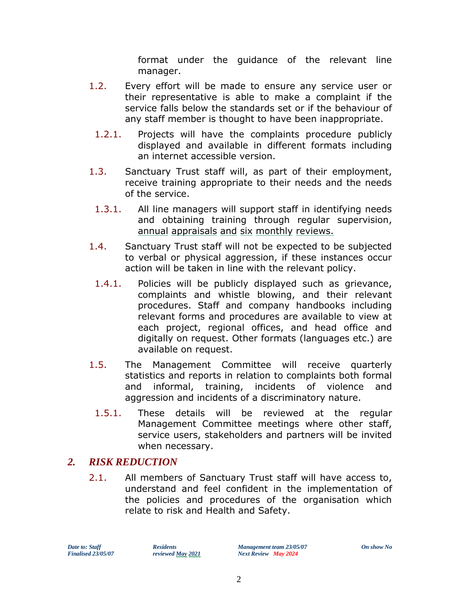format under the guidance of the relevant line manager.

- 1.2. Every effort will be made to ensure any service user or their representative is able to make a complaint if the service falls below the standards set or if the behaviour of any staff member is thought to have been inappropriate.
	- 1.2.1. Projects will have the complaints procedure publicly displayed and available in different formats including an internet accessible version.
- 1.3. Sanctuary Trust staff will, as part of their employment, receive training appropriate to their needs and the needs of the service.
	- 1.3.1. All line managers will support staff in identifying needs and obtaining training through regular supervision, annual appraisals and six monthly reviews.
- 1.4. Sanctuary Trust staff will not be expected to be subjected to verbal or physical aggression, if these instances occur action will be taken in line with the relevant policy.
- 1.4.1. Policies will be publicly displayed such as grievance, complaints and whistle blowing, and their relevant procedures. Staff and company handbooks including relevant forms and procedures are available to view at each project, regional offices, and head office and digitally on request. Other formats (languages etc.) are available on request.
- 1.5. The Management Committee will receive quarterly statistics and reports in relation to complaints both formal and informal, training, incidents of violence and aggression and incidents of a discriminatory nature.
	- 1.5.1. These details will be reviewed at the regular Management Committee meetings where other staff, service users, stakeholders and partners will be invited when necessary.

#### *2. RISK REDUCTION*

2.1. All members of Sanctuary Trust staff will have access to, understand and feel confident in the implementation of the policies and procedures of the organisation which relate to risk and Health and Safety.

*Date to: Staff Residents Residents Management team 23/05/07 On show No*<br> *Finalised 23/05/07 reviewed <u>May</u> 2021 Next Review May 2024 Finalised 23/05/07 reviewed May 2021 Next Review May 2024*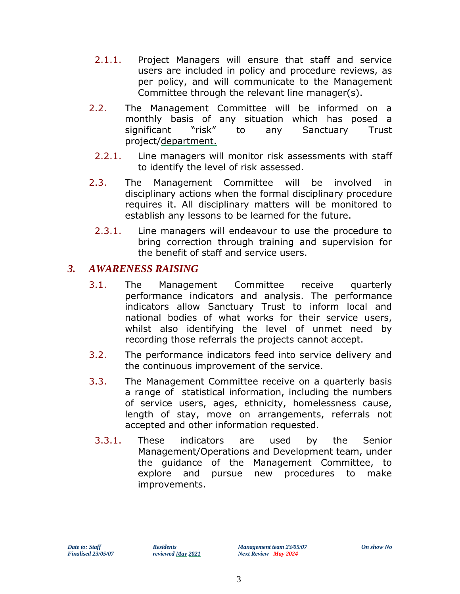- 2.1.1. Project Managers will ensure that staff and service users are included in policy and procedure reviews, as per policy, and will communicate to the Management Committee through the relevant line manager(s).
- 2.2. The Management Committee will be informed on a monthly basis of any situation which has posed a significant "risk" to any Sanctuary Trust project/department.
	- 2.2.1. Line managers will monitor risk assessments with staff to identify the level of risk assessed.
- 2.3. The Management Committee will be involved in disciplinary actions when the formal disciplinary procedure requires it. All disciplinary matters will be monitored to establish any lessons to be learned for the future.
	- 2.3.1. Line managers will endeavour to use the procedure to bring correction through training and supervision for the benefit of staff and service users.

#### *3. AWARENESS RAISING*

- 3.1. The Management Committee receive quarterly performance indicators and analysis. The performance indicators allow Sanctuary Trust to inform local and national bodies of what works for their service users, whilst also identifying the level of unmet need by recording those referrals the projects cannot accept.
- 3.2. The performance indicators feed into service delivery and the continuous improvement of the service.
- 3.3. The Management Committee receive on a quarterly basis a range of statistical information, including the numbers of service users, ages, ethnicity, homelessness cause, length of stay, move on arrangements, referrals not accepted and other information requested.
	- 3.3.1. These indicators are used by the Senior Management/Operations and Development team, under the guidance of the Management Committee, to explore and pursue new procedures to make improvements.